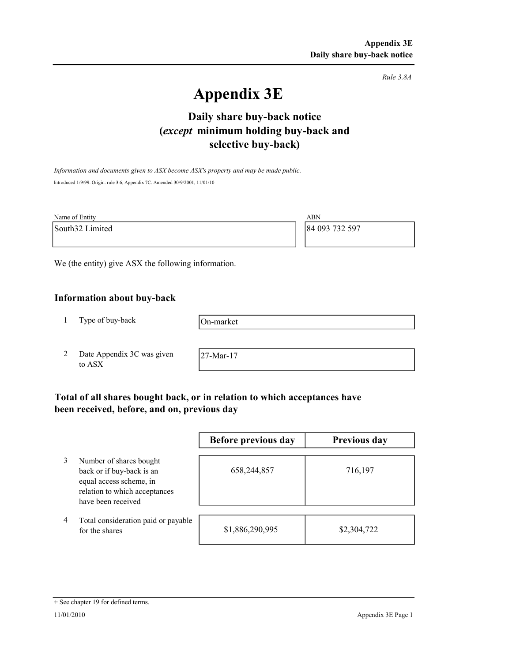Rule 3.8A

# Appendix 3E

# selective buy-back) Daily share buy-back notice (except minimum holding buy-back and

Information and documents given to ASX become ASX's property and may be made public. Introduced 1/9/99. Origin: rule 3.6, Appendix 7C. Amended 30/9/2001, 11/01/10

| Name of Entity  | ABN            |
|-----------------|----------------|
| South32 Limited | 84 093 732 597 |
|                 |                |

We (the entity) give ASX the following information.

## Information about buy-back

1 Type of buy-back

On-market

2 Date Appendix 3C was given to ASX

27-Mar-17

# Total of all shares bought back, or in relation to which acceptances have been received, before, and on, previous day

|   |                                                                                                                                        | Before previous day | Previous day |
|---|----------------------------------------------------------------------------------------------------------------------------------------|---------------------|--------------|
|   | Number of shares bought<br>back or if buy-back is an<br>equal access scheme, in<br>relation to which acceptances<br>have been received | 658,244,857         | 716,197      |
| 4 | Total consideration paid or payable<br>for the shares                                                                                  | \$1,886,290,995     | \$2,304,722  |

#### + See chapter 19 for defined terms.